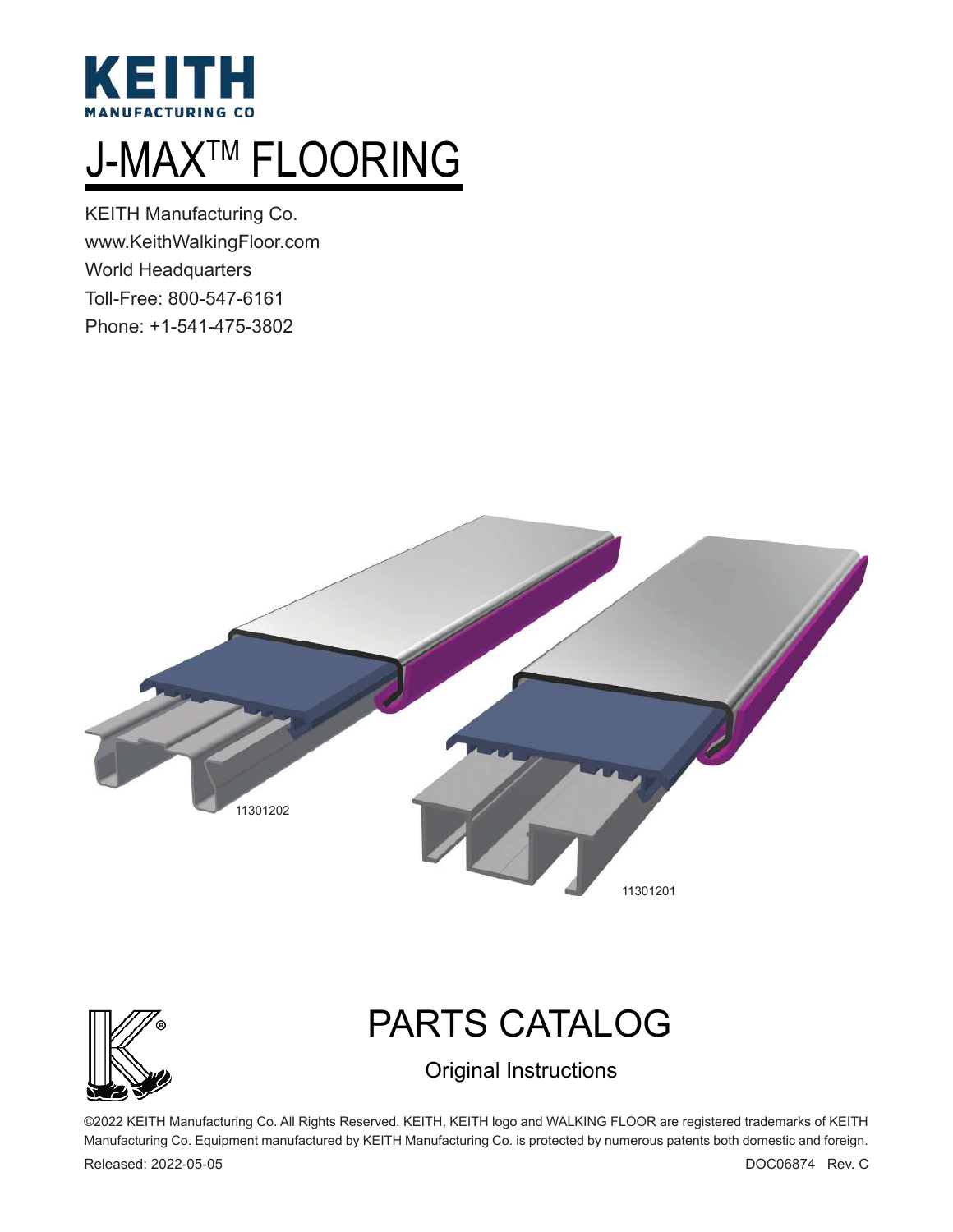

# J-MAX<sup>™</sup> FLOORING

KEITH Manufacturing Co. www.KeithWalkingFloor.com World Headquarters Toll-Free: 800-547-6161 Phone: +1-541-475-3802





# PARTS CATALOG

Original Instructions

©2022 KEITH Manufacturing Co. All Rights Reserved. KEITH, KEITH logo and WALKING FLOOR are registered trademarks of KEITH Manufacturing Co. Equipment manufactured by KEITH Manufacturing Co. is protected by numerous patents both domestic and foreign.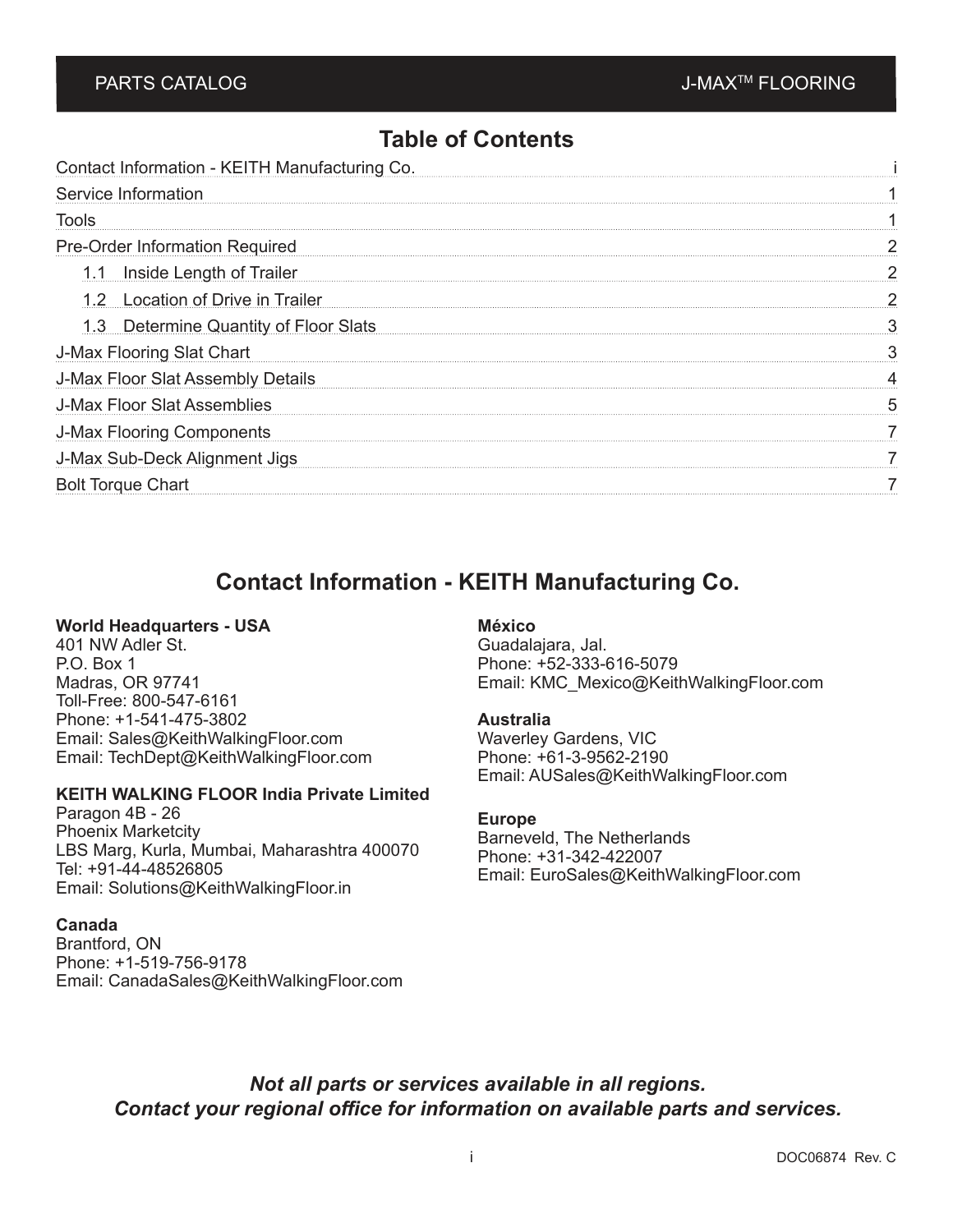## **Table of Contents**

| Contact Information - KEITH Manufacturing Co. |  |
|-----------------------------------------------|--|
| Service Information                           |  |
| Tools                                         |  |
| <b>Pre-Order Information Required</b>         |  |
| <b>Inside Length of Trailer</b><br>1.1        |  |
| 1.2 Location of Drive in Trailer              |  |
| 1.3 Determine Quantity of Floor Slats         |  |
| <b>J-Max Flooring Slat Chart</b>              |  |
| J-Max Floor Slat Assembly Details             |  |
| J-Max Floor Slat Assemblies                   |  |
| <b>J-Max Flooring Components</b>              |  |
| J-Max Sub-Deck Alignment Jigs                 |  |
| <b>Bolt Torque Chart</b>                      |  |
|                                               |  |

# **Contact Information - KEITH Manufacturing Co.**

#### **World Headquarters - USA**

401 NW Adler St. P.O. Box 1 Madras, OR 97741 Toll-Free: 800-547-6161 Phone: +1-541-475-3802 Email: Sales@KeithWalkingFloor.com Email: TechDept@KeithWalkingFloor.com

#### **KEITH WALKING FLOOR India Private Limited**

Paragon 4B - 26 Phoenix Marketcity LBS Marg, Kurla, Mumbai, Maharashtra 400070 Tel: +91-44-48526805 Email: Solutions@KeithWalkingFloor.in

#### **Canada**

Brantford, ON Phone: +1-519-756-9178 Email: CanadaSales@KeithWalkingFloor.com

### **México**

Guadalajara, Jal. Phone: +52-333-616-5079 Email: KMC\_Mexico@KeithWalkingFloor.com

#### **Australia**

Waverley Gardens, VIC Phone: +61-3-9562-2190 Email: AUSales@KeithWalkingFloor.com

#### **Europe**

Barneveld, The Netherlands Phone: +31-342-422007 Email: EuroSales@KeithWalkingFloor.com

*Not all parts or services available in all regions. Contact your regional office for information on available parts and services.*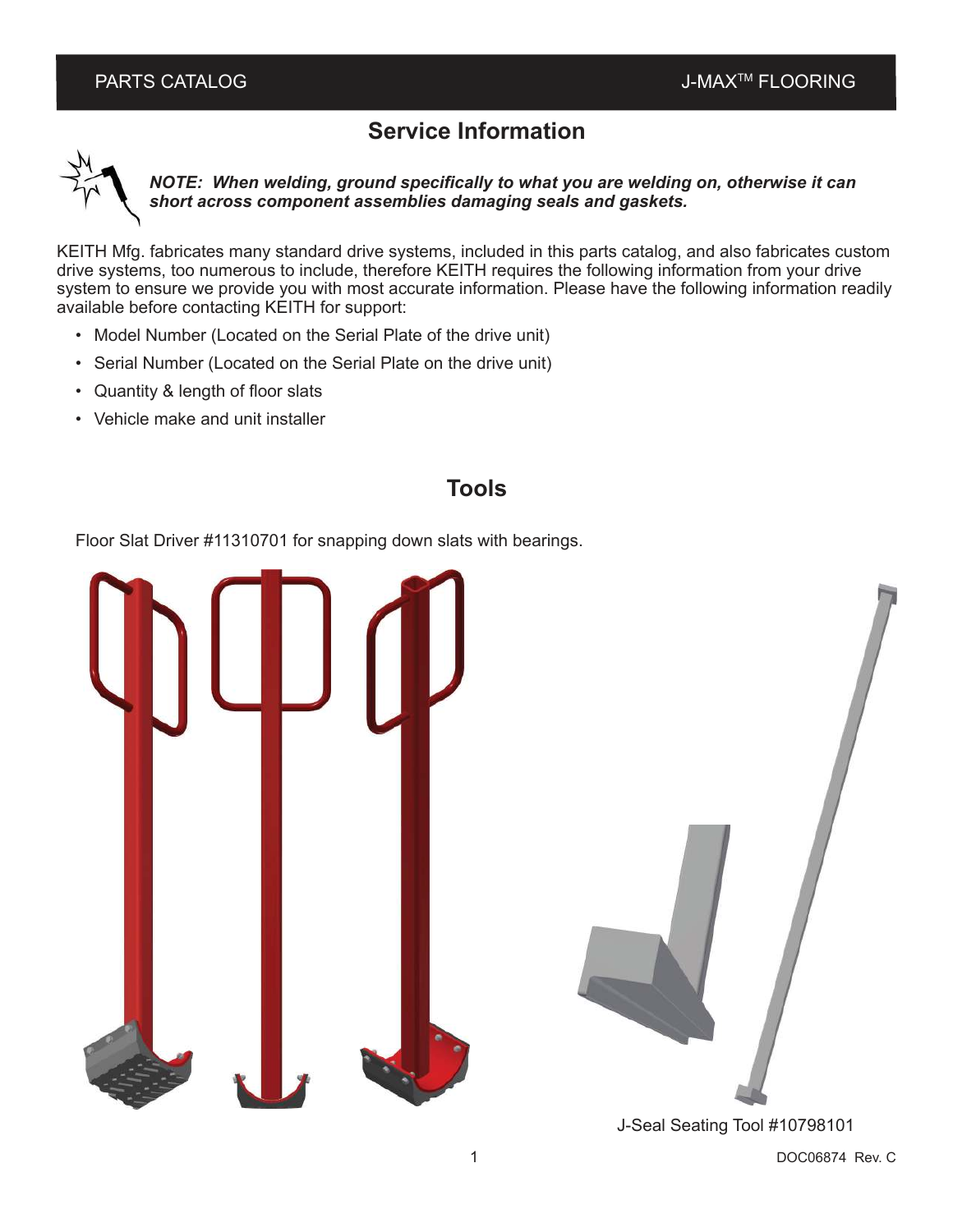# **Service Information**



*NOTE: When welding, ground specifically to what you are welding on, otherwise it can short across component assemblies damaging seals and gaskets.*

KEITH Mfg. fabricates many standard drive systems, included in this parts catalog, and also fabricates custom drive systems, too numerous to include, therefore KEITH requires the following information from your drive system to ensure we provide you with most accurate information. Please have the following information readily available before contacting KEITH for support:

- Model Number (Located on the Serial Plate of the drive unit)
- Serial Number (Located on the Serial Plate on the drive unit)
- Quantity & length of floor slats
- Vehicle make and unit installer

## **Tools**

Floor Slat Driver #11310701 for snapping down slats with bearings.



J-Seal Seating Tool #10798101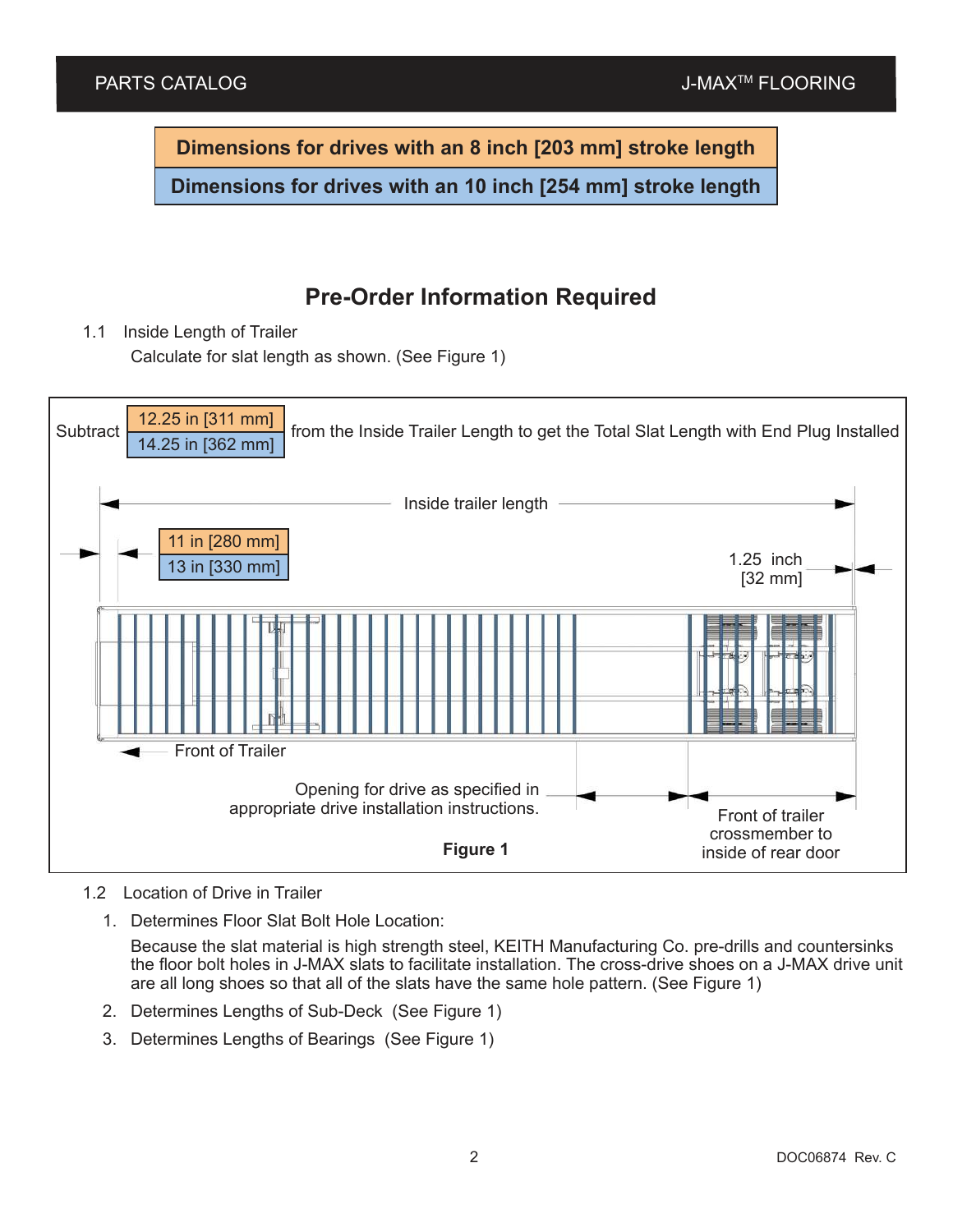**Dimensions for drives with an 8 inch [203 mm] stroke length**

**Dimensions for drives with an 10 inch [254 mm] stroke length**

# **Pre-Order Information Required**

1.1 Inside Length of Trailer

Calculate for slat length as shown. (See Figure 1)



<sup>1.2</sup> Location of Drive in Trailer

1. Determines Floor Slat Bolt Hole Location:

Because the slat material is high strength steel, KEITH Manufacturing Co. pre-drills and countersinks the floor bolt holes in J-MAX slats to facilitate installation. The cross-drive shoes on a J-MAX drive unit are all long shoes so that all of the slats have the same hole pattern. (See Figure 1)

- 2. Determines Lengths of Sub-Deck (See Figure 1)
- 3. Determines Lengths of Bearings (See Figure 1)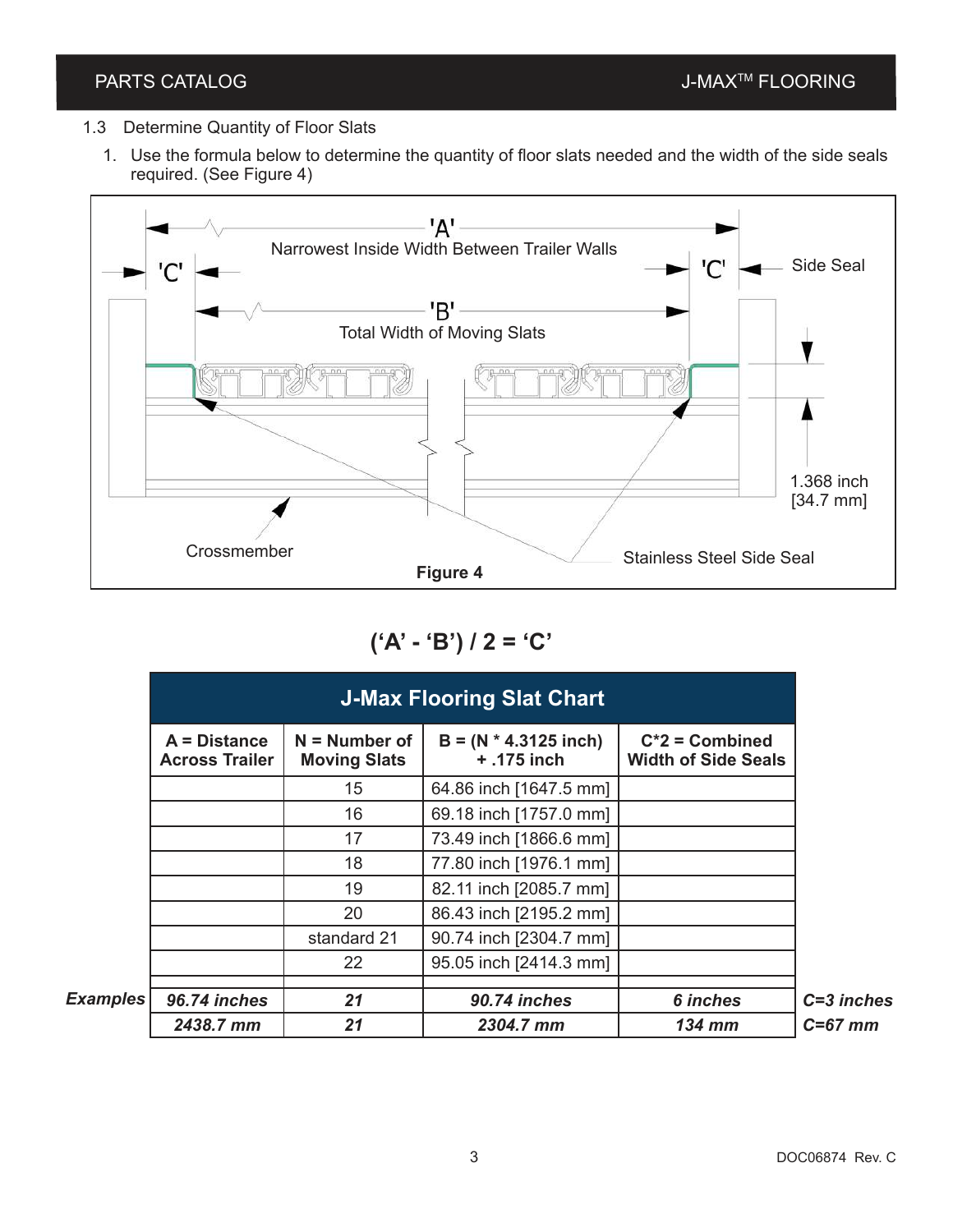- 1.3 Determine Quantity of Floor Slats
	- 1. Use the formula below to determine the quantity of floor slats needed and the width of the side seals required. (See Figure 4)



**('A' - 'B') / 2 = 'C'**

|          | <b>J-Max Flooring Slat Chart</b>        |                                        |                                        |                                                 |  |
|----------|-----------------------------------------|----------------------------------------|----------------------------------------|-------------------------------------------------|--|
|          | $A = Distance$<br><b>Across Trailer</b> | $N =$ Number of<br><b>Moving Slats</b> | $B = (N * 4.3125$ inch)<br>+ .175 inch | $C^*2$ = Combined<br><b>Width of Side Seals</b> |  |
|          |                                         | 15                                     | 64.86 inch [1647.5 mm]                 |                                                 |  |
|          |                                         | 16                                     | 69.18 inch [1757.0 mm]                 |                                                 |  |
|          |                                         | 17                                     | 73.49 inch [1866.6 mm]                 |                                                 |  |
|          |                                         | 18                                     | 77.80 inch [1976.1 mm]                 |                                                 |  |
|          |                                         | 19                                     | 82.11 inch [2085.7 mm]                 |                                                 |  |
|          |                                         | 20                                     | 86.43 inch [2195.2 mm]                 |                                                 |  |
|          |                                         | standard 21                            | 90.74 inch [2304.7 mm]                 |                                                 |  |
|          |                                         | 22                                     | 95.05 inch [2414.3 mm]                 |                                                 |  |
| Examples | 96.74 inches                            | 21                                     | 90.74 inches                           | <b>6</b> inches                                 |  |
|          | 2438.7 mm                               | 21                                     | 2304.7 mm                              | $134$ mm                                        |  |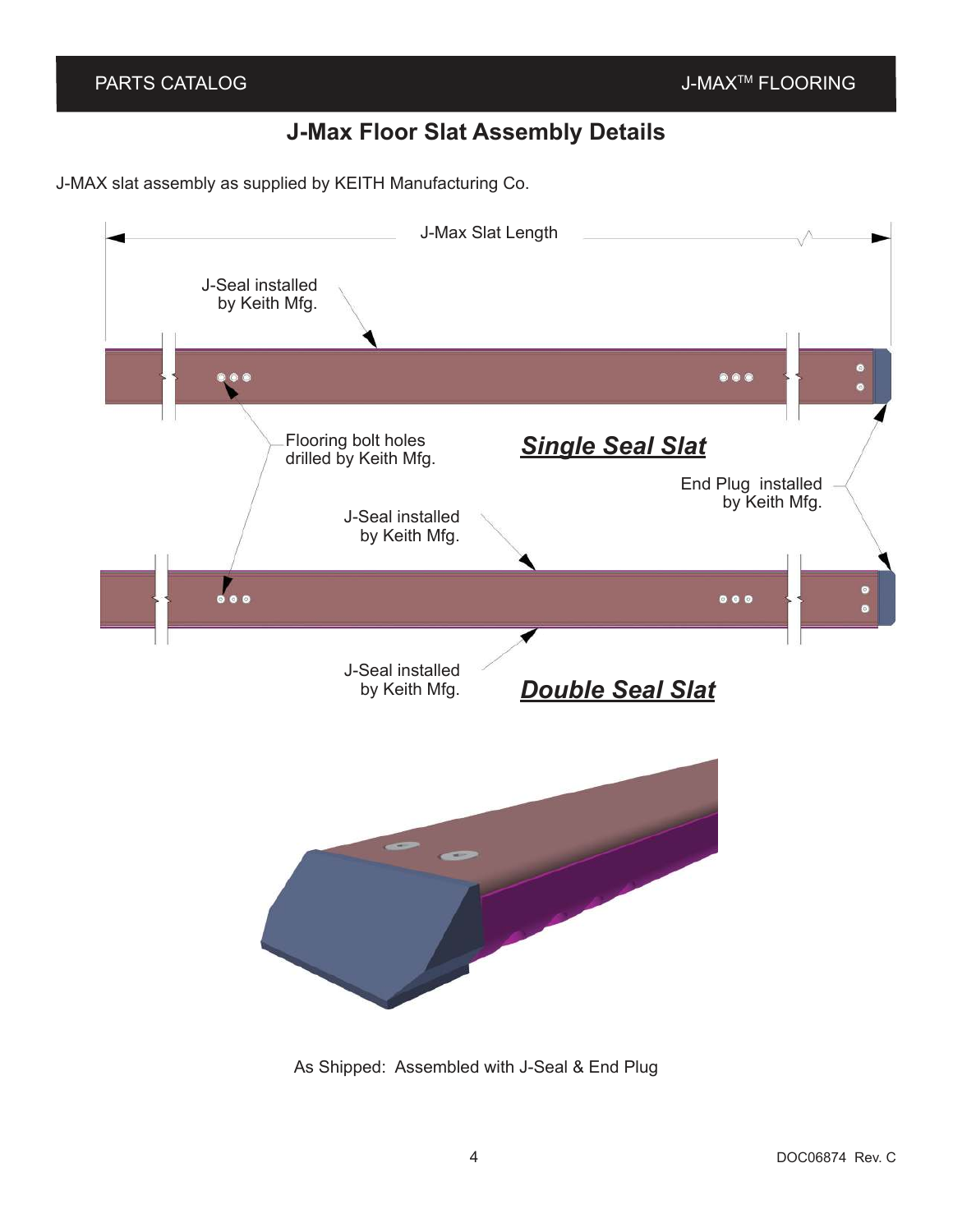# **J-Max Floor Slat Assembly Details**

J-MAX slat assembly as supplied by KEITH Manufacturing Co.



As Shipped: Assembled with J-Seal & End Plug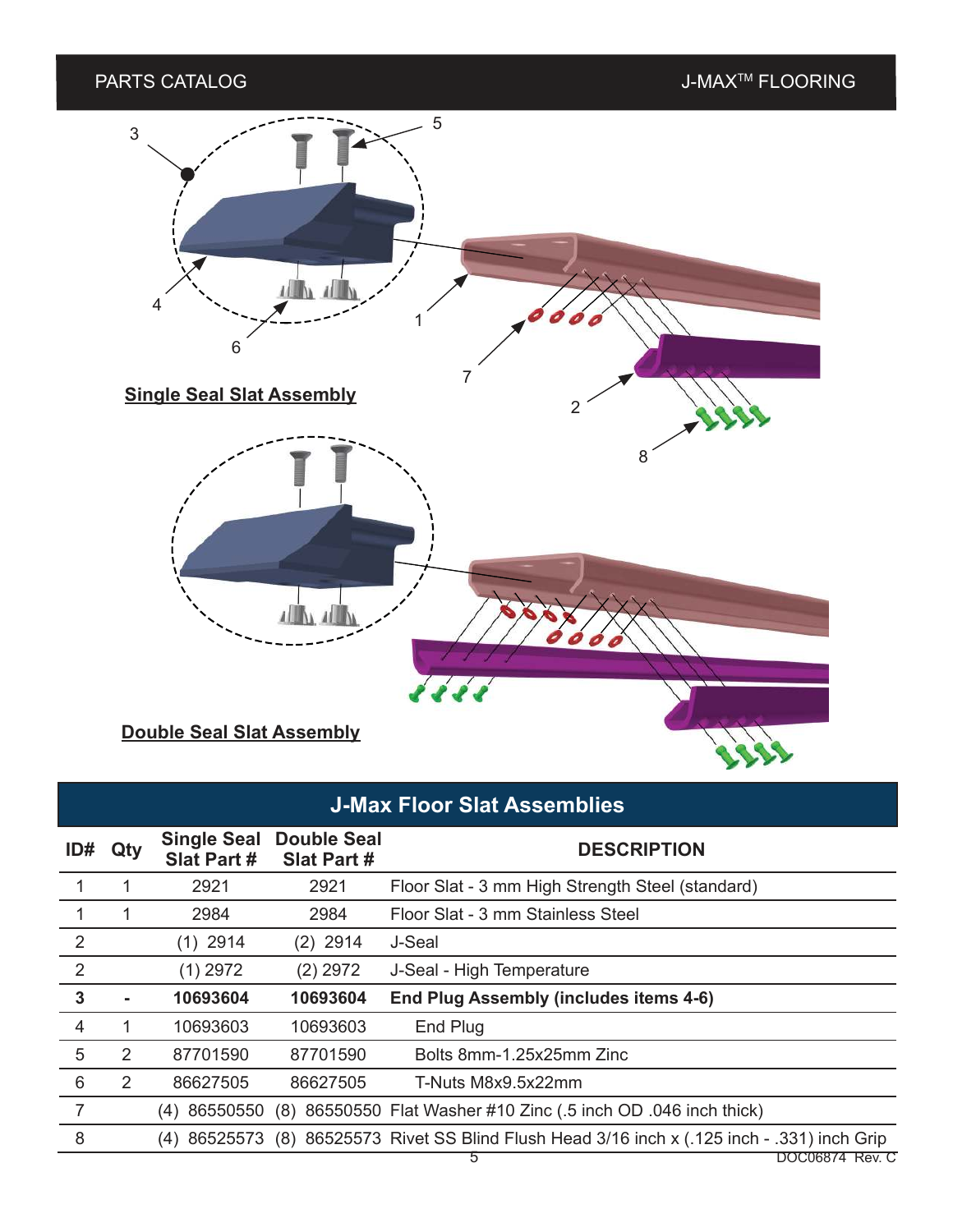# PARTS CATALOG and the state of the state of the state of the state of the state of the state of the state of the state of the state of the state of the state of the state of the state of the state of the state of the stat 5 3趣味 4 1 6 7 **Single Seal Slat Assembly** 2 8 3/16 in x .35 in [5 mm x 9 mm]

**Double Seal Slat Assembly**

# **J-Max Floor Slat Assemblies**

 $\frac{1}{2}$ 

| ID#            | Qty            | <b>Single Seal</b><br>Slat Part # | <b>Double Seal</b><br>Slat Part # | <b>DESCRIPTION</b>                                                              |                 |
|----------------|----------------|-----------------------------------|-----------------------------------|---------------------------------------------------------------------------------|-----------------|
|                | 1              | 2921                              | 2921                              | Floor Slat - 3 mm High Strength Steel (standard)                                |                 |
|                | 1              | 2984                              | 2984                              | Floor Slat - 3 mm Stainless Steel                                               |                 |
| 2              |                | $(1)$ 2914                        | $(2)$ 2914                        | J-Seal                                                                          |                 |
| 2              |                | $(1)$ 2972                        | $(2)$ 2972                        | J-Seal - High Temperature                                                       |                 |
| $\mathbf{3}$   | $\blacksquare$ | 10693604                          | 10693604                          | <b>End Plug Assembly (includes items 4-6)</b>                                   |                 |
| $\overline{4}$ | 1              | 10693603                          | 10693603                          | End Plug                                                                        |                 |
| 5              | 2              | 87701590                          | 87701590                          | Bolts 8mm-1.25x25mm Zinc                                                        |                 |
| 6              | $\overline{2}$ | 86627505                          | 86627505                          | T-Nuts M8x9.5x22mm                                                              |                 |
| 7              |                | 86550550<br>(4)                   |                                   | (8) 86550550 Flat Washer #10 Zinc (.5 inch OD .046 inch thick)                  |                 |
| 8              |                | 86525573<br>(4)                   |                                   | (8) 86525573 Rivet SS Blind Flush Head 3/16 inch x (.125 inch - .331) inch Grip |                 |
|                |                |                                   |                                   | 5                                                                               | DOC06874 Rev. C |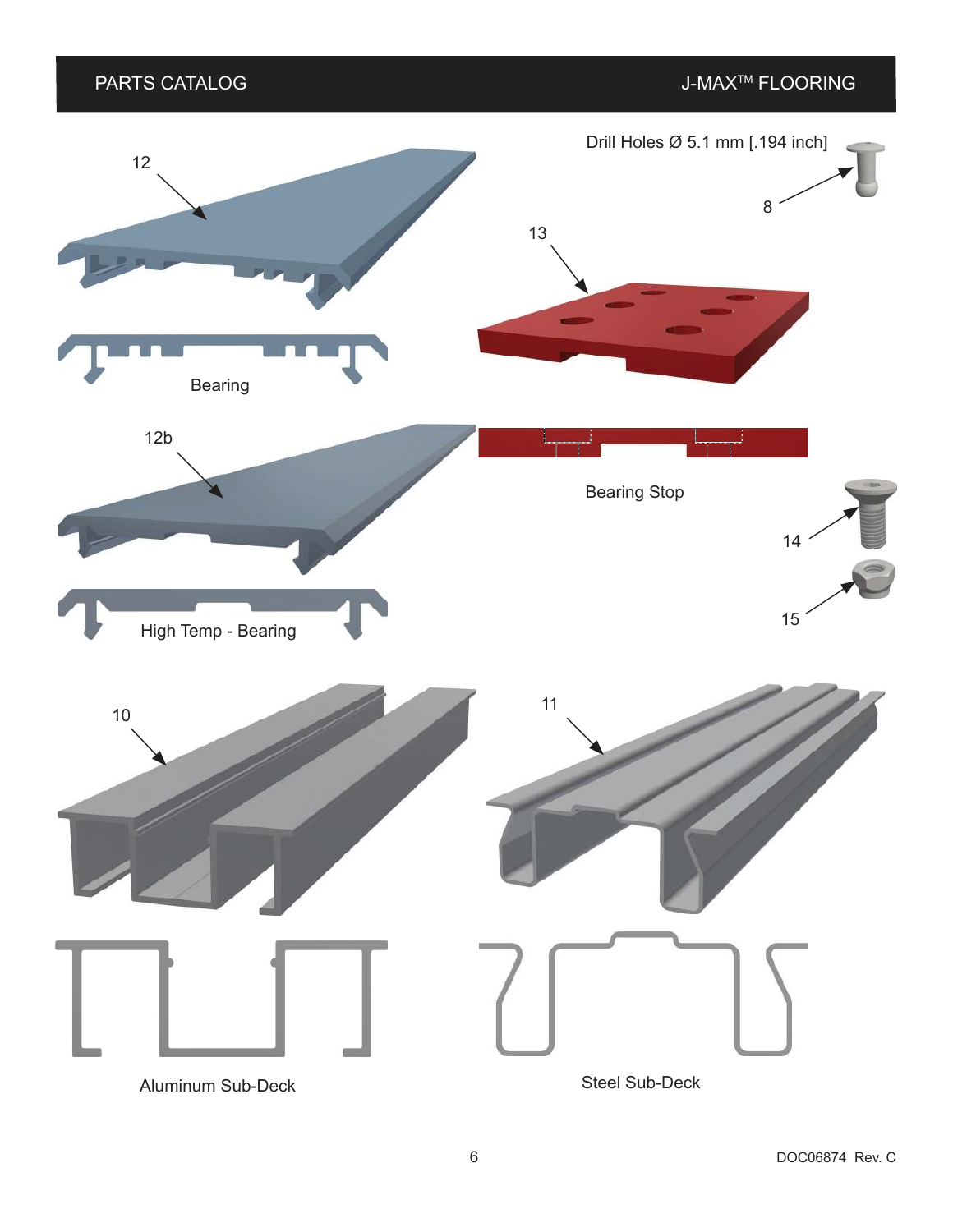### PARTS CATALOG and the state of the state of the state of the state of the state of the state of the state of the state of the state of the state of the state of the state of the state of the state of the state of the stat